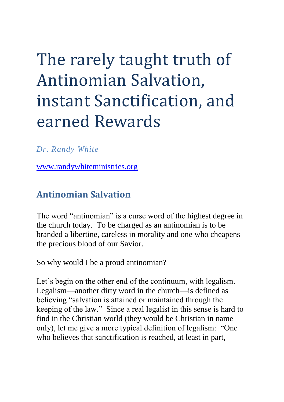# The rarely taught truth of Antinomian Salvation, instant Sanctification, and earned Rewards

*Dr. Randy White*

[www.randywhiteministries.org](http://www.randywhiteministries.org/)

# **Antinomian Salvation**

The word "antinomian" is a curse word of the highest degree in the church today. To be charged as an antinomian is to be branded a libertine, careless in morality and one who cheapens the precious blood of our Savior.

So why would I be a proud antinomian?

Let's begin on the other end of the continuum, with legalism. Legalism—another dirty word in the church—is defined as believing "salvation is attained or maintained through the keeping of the law.‖ Since a real legalist in this sense is hard to find in the Christian world (they would be Christian in name only), let me give a more typical definition of legalism: "One who believes that sanctification is reached, at least in part,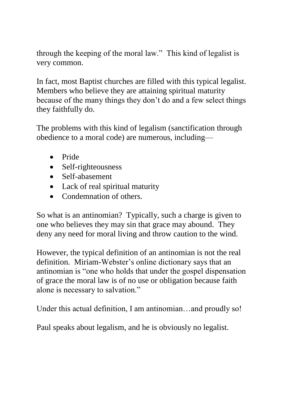through the keeping of the moral law.‖ This kind of legalist is very common.

In fact, most Baptist churches are filled with this typical legalist. Members who believe they are attaining spiritual maturity because of the many things they don't do and a few select things they faithfully do.

The problems with this kind of legalism (sanctification through obedience to a moral code) are numerous, including—

- Pride
- Self-righteousness
- Self-abasement
- Lack of real spiritual maturity
- Condemnation of others.

So what is an antinomian? Typically, such a charge is given to one who believes they may sin that grace may abound. They deny any need for moral living and throw caution to the wind.

However, the typical definition of an antinomian is not the real definition. Miriam-Webster's online dictionary says that an antinomian is "one who holds that under the gospel dispensation of grace the moral law is of no use or obligation because faith alone is necessary to salvation."

Under this actual definition, I am antinomian…and proudly so!

Paul speaks about legalism, and he is obviously no legalist.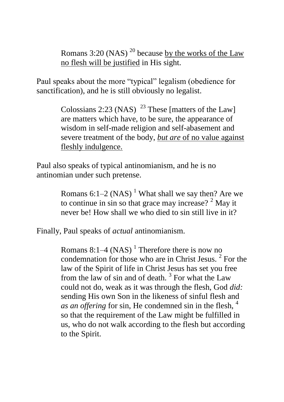Romans  $3:20$  (NAS)<sup>20</sup> because by the works of the Law no flesh will be justified in His sight.

Paul speaks about the more "typical" legalism (obedience for sanctification), and he is still obviously no legalist.

> Colossians 2:23 (NAS)  $^{23}$  These [matters of the Law] are matters which have, to be sure, the appearance of wisdom in self-made religion and self-abasement and severe treatment of the body, *but are* of no value against fleshly indulgence.

Paul also speaks of typical antinomianism, and he is no antinomian under such pretense.

> Romans  $6:1-2$  (NAS)<sup>1</sup> What shall we say then? Are we to continue in sin so that grace may increase?  $2^2$  May it never be! How shall we who died to sin still live in it?

Finally, Paul speaks of *actual* antinomianism.

Romans  $8:1-4$  (NAS)<sup>1</sup> Therefore there is now no condemnation for those who are in Christ Jesus.  $2$  For the law of the Spirit of life in Christ Jesus has set you free from the law of sin and of death.<sup>3</sup> For what the Law could not do, weak as it was through the flesh, God *did:* sending His own Son in the likeness of sinful flesh and *as an offering* for sin, He condemned sin in the flesh, <sup>4</sup> so that the requirement of the Law might be fulfilled in us, who do not walk according to the flesh but according to the Spirit.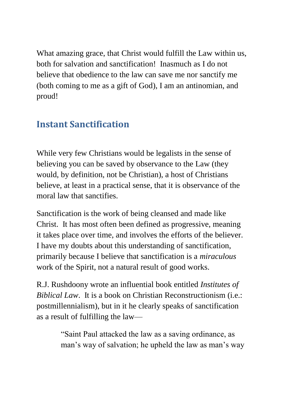What amazing grace, that Christ would fulfill the Law within us, both for salvation and sanctification! Inasmuch as I do not believe that obedience to the law can save me nor sanctify me (both coming to me as a gift of God), I am an antinomian, and proud!

# **Instant Sanctification**

While very few Christians would be legalists in the sense of believing you can be saved by observance to the Law (they would, by definition, not be Christian), a host of Christians believe, at least in a practical sense, that it is observance of the moral law that sanctifies.

Sanctification is the work of being cleansed and made like Christ. It has most often been defined as progressive, meaning it takes place over time, and involves the efforts of the believer. I have my doubts about this understanding of sanctification, primarily because I believe that sanctification is a *miraculous* work of the Spirit, not a natural result of good works.

R.J. Rushdoony wrote an influential book entitled *Institutes of Biblical Law*. It is a book on Christian Reconstructionism (i.e.: postmillennialism), but in it he clearly speaks of sanctification as a result of fulfilling the law—

> ―Saint Paul attacked the law as a saving ordinance, as man's way of salvation; he upheld the law as man's way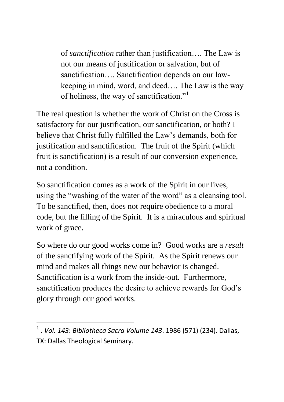of *sanctification* rather than justification…. The Law is not our means of justification or salvation, but of sanctification…. Sanctification depends on our lawkeeping in mind, word, and deed…. The Law is the way of holiness, the way of sanctification."

The real question is whether the work of Christ on the Cross is satisfactory for our justification, our sanctification, or both? I believe that Christ fully fulfilled the Law's demands, both for justification and sanctification. The fruit of the Spirit (which fruit is sanctification) is a result of our conversion experience, not a condition.

So sanctification comes as a work of the Spirit in our lives, using the "washing of the water of the word" as a cleansing tool. To be sanctified, then, does not require obedience to a moral code, but the filling of the Spirit. It is a miraculous and spiritual work of grace.

So where do our good works come in? Good works are a *result* of the sanctifying work of the Spirit. As the Spirit renews our mind and makes all things new our behavior is changed. Sanctification is a work from the inside-out. Furthermore, sanctification produces the desire to achieve rewards for God's glory through our good works.

**.** 

<sup>1</sup> . *Vol. 143*: *Bibliotheca Sacra Volume 143*. 1986 (571) (234). Dallas, TX: Dallas Theological Seminary.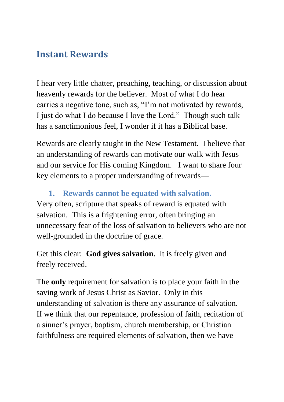# **Instant Rewards**

I hear very little chatter, preaching, teaching, or discussion about heavenly rewards for the believer. Most of what I do hear carries a negative tone, such as, "I'm not motivated by rewards, I just do what I do because I love the Lord." Though such talk has a sanctimonious feel, I wonder if it has a Biblical base.

Rewards are clearly taught in the New Testament. I believe that an understanding of rewards can motivate our walk with Jesus and our service for His coming Kingdom. I want to share four key elements to a proper understanding of rewards—

## **1. Rewards cannot be equated with salvation.**

Very often, scripture that speaks of reward is equated with salvation. This is a frightening error, often bringing an unnecessary fear of the loss of salvation to believers who are not well-grounded in the doctrine of grace.

Get this clear: **God gives salvation**. It is freely given and freely received.

The **only** requirement for salvation is to place your faith in the saving work of Jesus Christ as Savior. Only in this understanding of salvation is there any assurance of salvation. If we think that our repentance, profession of faith, recitation of a sinner's prayer, baptism, church membership, or Christian faithfulness are required elements of salvation, then we have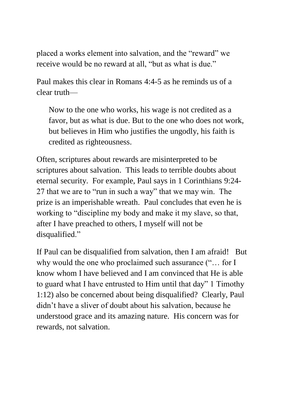placed a works element into salvation, and the "reward" we receive would be no reward at all, "but as what is due."

Paul makes this clear in Romans 4:4-5 as he reminds us of a clear truth—

Now to the one who works, his wage is not credited as a favor, but as what is due. But to the one who does not work, but believes in Him who justifies the ungodly, his faith is credited as righteousness.

Often, scriptures about rewards are misinterpreted to be scriptures about salvation. This leads to terrible doubts about eternal security. For example, Paul says in 1 Corinthians 9:24- 27 that we are to "run in such a way" that we may win. The prize is an imperishable wreath. Paul concludes that even he is working to "discipline my body and make it my slave, so that, after I have preached to others, I myself will not be disqualified."

If Paul can be disqualified from salvation, then I am afraid! But why would the one who proclaimed such assurance ("... for I know whom I have believed and I am convinced that He is able to guard what I have entrusted to Him until that day" 1 Timothy 1:12) also be concerned about being disqualified? Clearly, Paul didn't have a sliver of doubt about his salvation, because he understood grace and its amazing nature. His concern was for rewards, not salvation.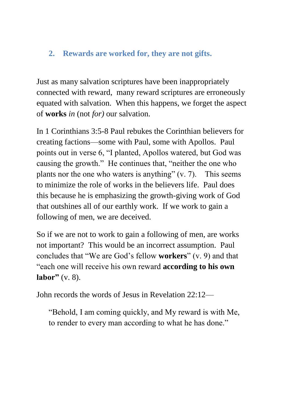#### **2. Rewards are worked for, they are not gifts.**

Just as many salvation scriptures have been inappropriately connected with reward, many reward scriptures are erroneously equated with salvation. When this happens, we forget the aspect of **works** *in* (not *for)* our salvation.

In 1 Corinthians 3:5-8 Paul rebukes the Corinthian believers for creating factions—some with Paul, some with Apollos. Paul points out in verse 6, "I planted, Apollos watered, but God was causing the growth." He continues that, "neither the one who plants nor the one who waters is anything"  $(v, 7)$ . This seems to minimize the role of works in the believers life. Paul does this because he is emphasizing the growth-giving work of God that outshines all of our earthly work. If we work to gain a following of men, we are deceived.

So if we are not to work to gain a following of men, are works not important? This would be an incorrect assumption. Paul concludes that "We are God's fellow **workers**" (v. 9) and that "each one will receive his own reward **according to his own labor"** (v. 8).

John records the words of Jesus in Revelation 22:12—

"Behold, I am coming quickly, and My reward is with Me, to render to every man according to what he has done."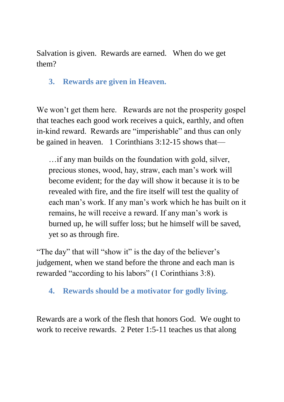Salvation is given. Rewards are earned. When do we get them?

## **3. Rewards are given in Heaven.**

We won't get them here. Rewards are not the prosperity gospel that teaches each good work receives a quick, earthly, and often in-kind reward. Rewards are "imperishable" and thus can only be gained in heaven. 1 Corinthians 3:12-15 shows that—

…if any man builds on the foundation with gold, silver, precious stones, wood, hay, straw, each man's work will become evident; for the day will show it because it is to be revealed with fire, and the fire itself will test the quality of each man's work. If any man's work which he has built on it remains, he will receive a reward. If any man's work is burned up, he will suffer loss; but he himself will be saved, yet so as through fire.

"The day" that will "show it" is the day of the believer's judgement, when we stand before the throne and each man is rewarded "according to his labors" (1 Corinthians 3:8).

## **4. Rewards should be a motivator for godly living.**

Rewards are a work of the flesh that honors God. We ought to work to receive rewards. 2 Peter 1:5-11 teaches us that along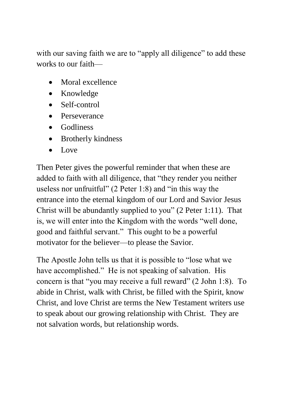with our saving faith we are to "apply all diligence" to add these works to our faith—

- Moral excellence
- Knowledge
- Self-control
- **Perseverance**
- Godliness
- Brotherly kindness
- $\bullet$  Love

Then Peter gives the powerful reminder that when these are added to faith with all diligence, that "they render you neither useless nor unfruitful"  $(2$  Peter 1:8) and "in this way the entrance into the eternal kingdom of our Lord and Savior Jesus Christ will be abundantly supplied to you"  $(2$  Peter 1:11). That is, we will enter into the Kingdom with the words "well done, good and faithful servant." This ought to be a powerful motivator for the believer—to please the Savior.

The Apostle John tells us that it is possible to "lose what we have accomplished." He is not speaking of salvation. His concern is that "you may receive a full reward" (2 John 1:8). To abide in Christ, walk with Christ, be filled with the Spirit, know Christ, and love Christ are terms the New Testament writers use to speak about our growing relationship with Christ. They are not salvation words, but relationship words.